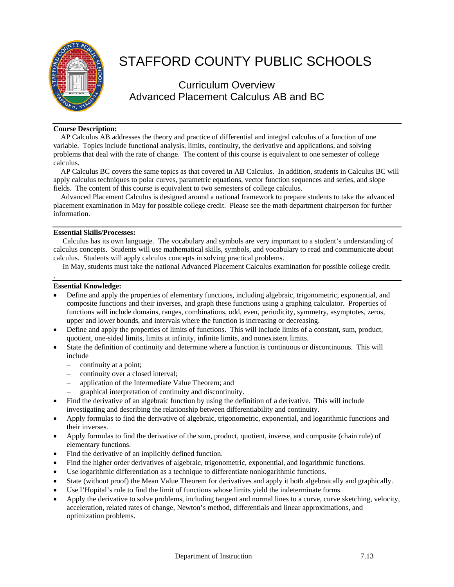

# STAFFORD COUNTY PUBLIC SCHOOLS

# Curriculum Overview Advanced Placement Calculus AB and BC

## **Course Description:**

 AP Calculus AB addresses the theory and practice of differential and integral calculus of a function of one variable. Topics include functional analysis, limits, continuity, the derivative and applications, and solving problems that deal with the rate of change. The content of this course is equivalent to one semester of college calculus.

 AP Calculus BC covers the same topics as that covered in AB Calculus. In addition, students in Calculus BC will apply calculus techniques to polar curves, parametric equations, vector function sequences and series, and slope fields. The content of this course is equivalent to two semesters of college calculus.

 Advanced Placement Calculus is designed around a national framework to prepare students to take the advanced placement examination in May for possible college credit. Please see the math department chairperson for further information.

## **Essential Skills/Processes:**

 Calculus has its own language. The vocabulary and symbols are very important to a student's understanding of calculus concepts. Students will use mathematical skills, symbols, and vocabulary to read and communicate about calculus. Students will apply calculus concepts in solving practical problems.

In May, students must take the national Advanced Placement Calculus examination for possible college credit.

#### **Essential Knowledge:**

.

- Define and apply the properties of elementary functions, including algebraic, trigonometric, exponential, and composite functions and their inverses, and graph these functions using a graphing calculator. Properties of functions will include domains, ranges, combinations, odd, even, periodicity, symmetry, asymptotes, zeros, upper and lower bounds, and intervals where the function is increasing or decreasing.
- Define and apply the properties of limits of functions. This will include limits of a constant, sum, product, quotient, one-sided limits, limits at infinity, infinite limits, and nonexistent limits.
- State the definition of continuity and determine where a function is continuous or discontinuous. This will include
	- − continuity at a point;
	- continuity over a closed interval;
	- − application of the Intermediate Value Theorem; and
	- graphical interpretation of continuity and discontinuity.
- Find the derivative of an algebraic function by using the definition of a derivative. This will include investigating and describing the relationship between differentiability and continuity.
- Apply formulas to find the derivative of algebraic, trigonometric, exponential, and logarithmic functions and their inverses.
- Apply formulas to find the derivative of the sum, product, quotient, inverse, and composite (chain rule) of elementary functions.
- Find the derivative of an implicitly defined function.
- Find the higher order derivatives of algebraic, trigonometric, exponential, and logarithmic functions.
- Use logarithmic differentiation as a technique to differentiate nonlogarithmic functions.
- State (without proof) the Mean Value Theorem for derivatives and apply it both algebraically and graphically.
- Use l'Hopital's rule to find the limit of functions whose limits yield the indeterminate forms.
- Apply the derivative to solve problems, including tangent and normal lines to a curve, curve sketching, velocity, acceleration, related rates of change, Newton's method, differentials and linear approximations, and optimization problems.